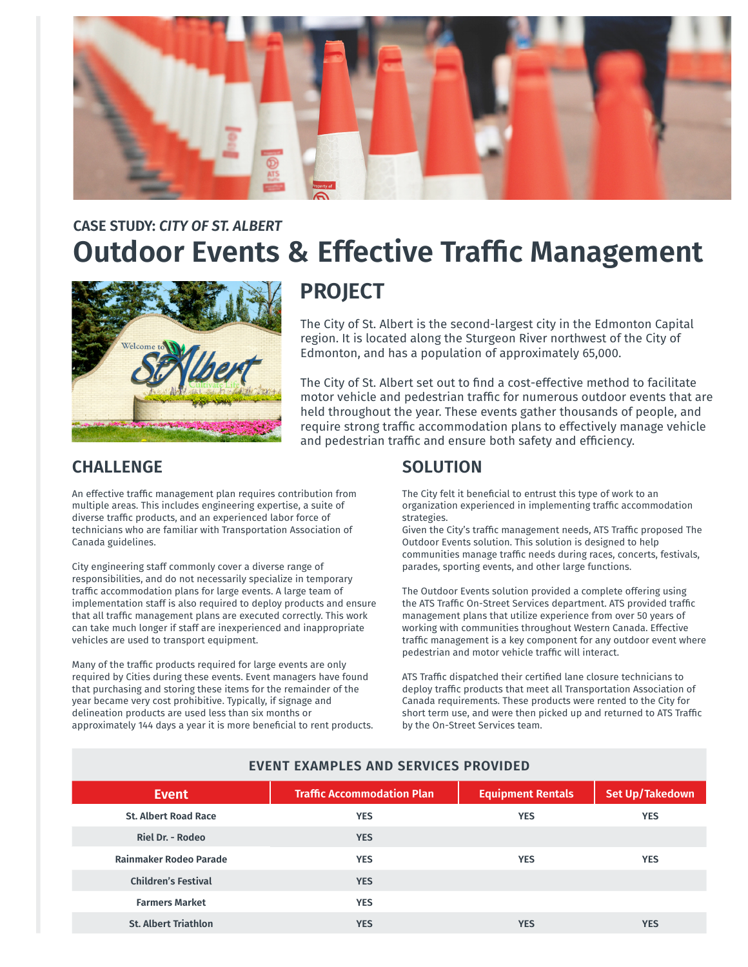

# **Outdoor Events & Effective Traffic Management CASE STUDY:** *CITY OF ST. ALBERT*



# **PROJECT**

The City of St. Albert is the second-largest city in the Edmonton Capital region. It is located along the Sturgeon River northwest of the City of Edmonton, and has a population of approximately 65,000.

The City of St. Albert set out to find a cost-effective method to facilitate motor vehicle and pedestrian traffic for numerous outdoor events that are held throughout the year. These events gather thousands of people, and require strong traffic accommodation plans to effectively manage vehicle and pedestrian traffic and ensure both safety and efficiency.

#### **CHALLENGE**

An effective traffic management plan requires contribution from multiple areas. This includes engineering expertise, a suite of diverse traffic products, and an experienced labor force of technicians who are familiar with Transportation Association of Canada guidelines.

City engineering staff commonly cover a diverse range of responsibilities, and do not necessarily specialize in temporary traffic accommodation plans for large events. A large team of implementation staff is also required to deploy products and ensure that all traffic management plans are executed correctly. This work can take much longer if staff are inexperienced and inappropriate vehicles are used to transport equipment.

Many of the traffic products required for large events are only required by Cities during these events. Event managers have found that purchasing and storing these items for the remainder of the year became very cost prohibitive. Typically, if signage and delineation products are used less than six months or approximately 144 days a year it is more beneficial to rent products.

#### **SOLUTION**

The City felt it beneficial to entrust this type of work to an organization experienced in implementing traffic accommodation strategies.

Given the City's traffic management needs, ATS Traffic proposed The Outdoor Events solution. This solution is designed to help communities manage traffic needs during races, concerts, festivals, parades, sporting events, and other large functions.

The Outdoor Events solution provided a complete offering using the ATS Traffic On-Street Services department. ATS provided traffic management plans that utilize experience from over 50 years of working with communities throughout Western Canada. Effective traffic management is a key component for any outdoor event where pedestrian and motor vehicle traffic will interact.

ATS Traffic dispatched their certified lane closure technicians to deploy traffic products that meet all Transportation Association of Canada requirements. These products were rented to the City for short term use, and were then picked up and returned to ATS Traffic by the On-Street Services team.

| <b>Event</b>                  | <b>Traffic Accommodation Plan</b> | <b>Equipment Rentals</b> | Set Up/Takedown |
|-------------------------------|-----------------------------------|--------------------------|-----------------|
| <b>St. Albert Road Race</b>   | <b>YES</b>                        | <b>YES</b>               | <b>YES</b>      |
| <b>Riel Dr. - Rodeo</b>       | <b>YES</b>                        |                          |                 |
| <b>Rainmaker Rodeo Parade</b> | <b>YES</b>                        | <b>YES</b>               | <b>YES</b>      |
| <b>Children's Festival</b>    | <b>YES</b>                        |                          |                 |
| <b>Farmers Market</b>         | <b>YES</b>                        |                          |                 |
| <b>St. Albert Triathlon</b>   | <b>YES</b>                        | <b>YES</b>               | <b>YES</b>      |

#### **EVENT EXAMPLES AND SERVICES PROVIDED**